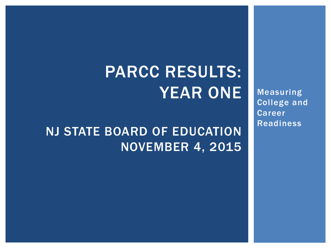# PARCC RESULTS: YEAR ONE

NJ STATE BOARD OF EDUCATION NOVEMBER 4, 2015 Measuring College and Career Readiness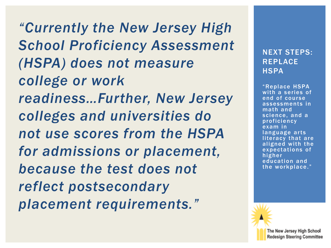*"Currently the New Jersey High School Proficiency Assessment (HSPA) does not measure college or work readiness…Further, New Jersey colleges and universities do not use scores from the HSPA for admissions or placement, because the test does not reflect postsecondary placement requirements."*

#### NEXT STEPS: REPLACE **HSPA**

"Replace HSPA with a series of end of course assessments in math and science, and a proficiency exam in language arts literacy that are aligned with the expectations of higher education and the workplace."

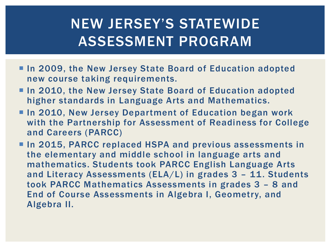## NEW JERSEY'S STATEWIDE ASSESSMENT PROGRAM

- **In 2009, the New Jersey State Board of Education adopted** new course taking requirements.
- **In 2010, the New Jersey State Board of Education adopted** higher standards in Language Arts and Mathematics.
- In 2010, New Jersey Department of Education began work with the Partnership for Assessment of Readiness for College and Careers (PARCC)
- **In 2015, PARCC replaced HSPA and previous assessments in** the elementary and middle school in language arts and mathematics. Students took PARCC English Language Arts and Literacy Assessments (ELA/L) in grades 3 – 11. Students took PARCC Mathematics Assessments in grades 3 – 8 and End of Course Assessments in Algebra I, Geometry, and Algebra II.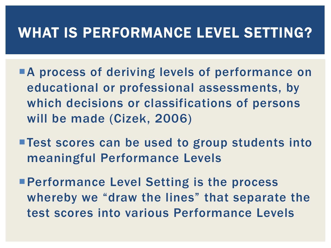#### WHAT IS PERFORMANCE LEVEL SETTING?

- **A process of deriving levels of performance on** educational or professional assessments, by which decisions or classifications of persons will be made (Cizek, 2006)
- Test scores can be used to group students into meaningful Performance Levels
- **Performance Level Setting is the process** whereby we "draw the lines" that separate the test scores into various Performance Levels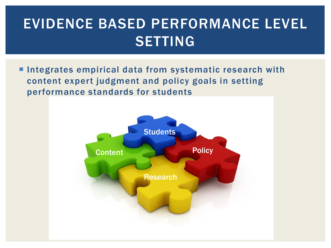## EVIDENCE BASED PERFORMANCE LEVEL SETTING

**Integrates empirical data from systematic research with** content expert judgment and policy goals in setting performance standards for students

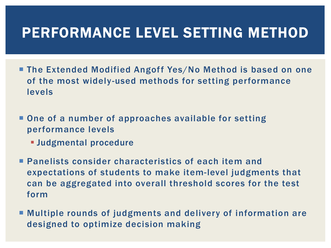## PERFORMANCE LEVEL SETTING METHOD

- The Extended Modified Angoff Yes/No Method is based on one of the most widely-used methods for setting performance levels
- One of a number of approaches available for setting performance levels
	- Judgmental procedure
- **Panelists consider characteristics of each item and** expectations of students to make item-level judgments that can be aggregated into overall threshold scores for the test form
- Multiple rounds of judgments and delivery of information are designed to optimize decision making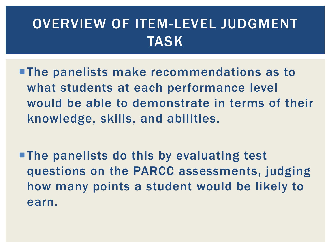## OVERVIEW OF ITEM-LEVEL JUDGMENT TASK

- The panelists make recommendations as to what students at each performance level would be able to demonstrate in terms of their knowledge, skills, and abilities.
- **The panelists do this by evaluating test** questions on the PARCC assessments, judging how many points a student would be likely to earn.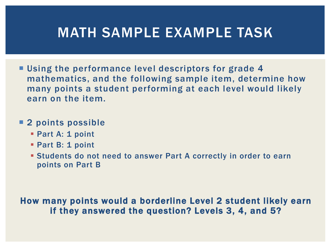#### MATH SAMPLE EXAMPLE TASK

**Using the performance level descriptors for grade 4** mathematics, and the following sample item, determine how many points a student performing at each level would likely earn on the item.

#### **2 points possible**

- **Part A: 1 point**
- **Part B: 1 point**
- Students do not need to answer Part A correctly in order to earn points on Part B

#### How many points would a borderline Level 2 student likely earn if they answered the question? Levels 3, 4, and 5?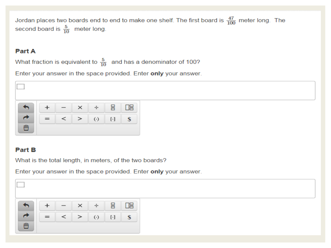Jordan places two boards end to end to make one shelf. The first board is  $\frac{47}{100}$  meter long. The second board is  $\frac{5}{10}$  meter long.

#### **Part A**

What fraction is equivalent to  $\frac{5}{10}$  and has a denominator of 100?

Enter your answer in the space provided. Enter only your answer.

**Part B**<br>What is the total length, in meters, of the two boards?

Enter your answer in the space provided. Enter only your answer.

|                                   |     | $\hspace{0.05cm}$ | $\times$ | ÷                    | 昌         | ᄜ  |
|-----------------------------------|-----|-------------------|----------|----------------------|-----------|----|
|                                   | $=$ | $\,<\,$           | ➢        | $\left(\cdot\right)$ | $[\cdot]$ | \$ |
| $\widehat{\overline{\mathbf{u}}}$ |     |                   |          |                      |           |    |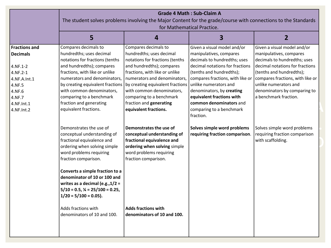|                                                                                                                                           | <b>Grade 4 Math: Sub-Claim A</b><br>The student solves problems involving the Major Content for the grade/course with connections to the Standards<br>for Mathematical Practice.                                                                                                                                                                                                                                     |                                                                                                                                                                                                                                                                                                                                     |                                                                                                                                                                                                                                                                                                                                                  |                                                                                                                                                                                                                                                                             |
|-------------------------------------------------------------------------------------------------------------------------------------------|----------------------------------------------------------------------------------------------------------------------------------------------------------------------------------------------------------------------------------------------------------------------------------------------------------------------------------------------------------------------------------------------------------------------|-------------------------------------------------------------------------------------------------------------------------------------------------------------------------------------------------------------------------------------------------------------------------------------------------------------------------------------|--------------------------------------------------------------------------------------------------------------------------------------------------------------------------------------------------------------------------------------------------------------------------------------------------------------------------------------------------|-----------------------------------------------------------------------------------------------------------------------------------------------------------------------------------------------------------------------------------------------------------------------------|
|                                                                                                                                           | 5                                                                                                                                                                                                                                                                                                                                                                                                                    | 4                                                                                                                                                                                                                                                                                                                                   | $\overline{\mathbf{3}}$                                                                                                                                                                                                                                                                                                                          | $\overline{2}$                                                                                                                                                                                                                                                              |
| <b>Fractions and</b><br><b>Decimals</b><br>4.NF.1-2<br>4.NF.2-1<br>4.NF.A.Int.1<br>4.NF.5<br>4.NF.6<br>4.NF.7<br>4.NF.Int.1<br>4.NF.Int.2 | Compares decimals to<br>hundredths; uses decimal<br>notations for fractions (tenths<br>and hundredths); compares<br>fractions, with like or unlike<br>numerators and denominators,<br>by creating equivalent fractions<br>with common denominators,<br>comparing to a benchmark<br>fraction and generating<br>equivalent fractions.                                                                                  | Compares decimals to<br>hundredths; uses decimal<br>notations for fractions (tenths<br>and hundredths); compares<br>fractions, with like or unlike<br>numerators and denominators,<br>by creating equivalent fractions<br>with common denominators,<br>comparing to a benchmark<br>fraction and generating<br>equivalent fractions. | Given a visual model and/or<br>manipulatives, compares<br>decimals to hundredths; uses<br>decimal notations for fractions<br>(tenths and hundredths);<br>compares fractions, with like or<br>unlike numerators and<br>denominators, by creating<br>equivalent fractions with<br>common denominators and<br>comparing to a benchmark<br>fraction. | Given a visual model and/or<br>manipulatives, compares<br>decimals to hundredths; uses<br>decimal notations for fractions<br>(tenths and hundredths);<br>compares fractions, with like or<br>unlike numerators and<br>denominators by comparing to<br>a benchmark fraction. |
|                                                                                                                                           | Demonstrates the use of<br>conceptual understanding of<br>fractional equivalence and<br>ordering when solving simple<br>word problems requiring<br>fraction comparison.<br>Converts a simple fraction to a<br>denominator of 10 or 100 and<br>writes as a decimal (e.g., $1/2 =$<br>$5/10 = 0.5$ , $\frac{1}{4} = 25/100 = 0.25$ ,<br>$1/20 = 5/100 = 0.05$ ).<br>Adds fractions with<br>denominators of 10 and 100. | Demonstrates the use of<br>conceptual understanding of<br>fractional equivalence and<br>ordering when solving simple<br>word problems requiring<br>fraction comparison.<br><b>Adds fractions with</b><br>denominators of 10 and 100.                                                                                                | Solves simple word problems<br>requiring fraction comparison.                                                                                                                                                                                                                                                                                    | Solves simple word problems<br>requiring fraction comparison<br>with scaffolding.                                                                                                                                                                                           |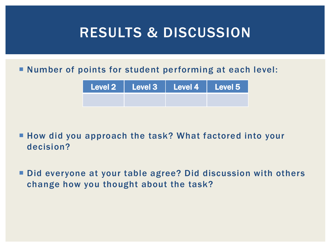### RESULTS & DISCUSSION

#### Number of points for student performing at each level:

|  | Level 2   Level 3   Level 4   Level 5 |  |
|--|---------------------------------------|--|
|  |                                       |  |

■ How did you approach the task? What factored into your decision?

■ Did everyone at your table agree? Did discussion with others change how you thought about the task?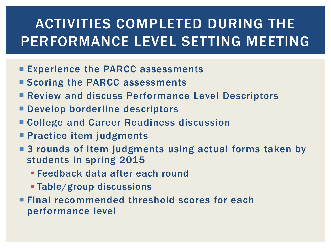# ACTIVITIES COMPLETED DURING THE PERFORMANCE LEVEL SETTING MEETING

- **Experience the PARCC assessments**
- Scoring the PARCC assessments
- **Review and discuss Performance Level Descriptors**
- **Develop borderline descriptors**
- College and Career Readiness discussion
- **Practice item judgments**
- 3 rounds of item judgments using actual forms taken by students in spring 2015
	- Feedback data after each round
	- Table/group discussions
- Final recommended threshold scores for each performance level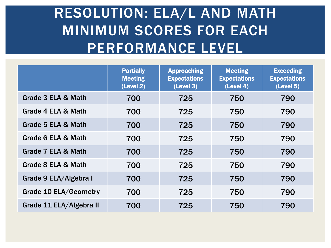# RESOLUTION: ELA/L AND MATH MINIMUM SCORES FOR EACH PERFORMANCE LEVEL

|                              | <b>Partially</b><br><b>Meeting</b><br>(Level 2) | <b>Approaching</b><br><b>Expectations</b><br>(Level 3) | <b>Meeting</b><br><b>Expectations</b><br>(Level 4) | <b>Exceeding</b><br><b>Expectations</b><br>(Level 5) |
|------------------------------|-------------------------------------------------|--------------------------------------------------------|----------------------------------------------------|------------------------------------------------------|
| Grade 3 ELA & Math           | 700                                             | 725                                                    | 750                                                | 790                                                  |
| Grade 4 ELA & Math           | 700                                             | 725                                                    | 750                                                | 790                                                  |
| Grade 5 ELA & Math           | 700                                             | 725                                                    | 750                                                | 790                                                  |
| Grade 6 ELA & Math           | 700                                             | 725                                                    | 750                                                | 790                                                  |
| Grade 7 ELA & Math           | 700                                             | 725                                                    | 750                                                | 790                                                  |
| Grade 8 ELA & Math           | 700                                             | 725                                                    | 750                                                | 790                                                  |
| Grade 9 ELA/Algebra I        | 700                                             | 725                                                    | 750                                                | 790                                                  |
| <b>Grade 10 ELA/Geometry</b> | 700                                             | 725                                                    | 750                                                | 790                                                  |
| Grade 11 ELA/Algebra II      | 700                                             | 725                                                    | 750                                                | 790                                                  |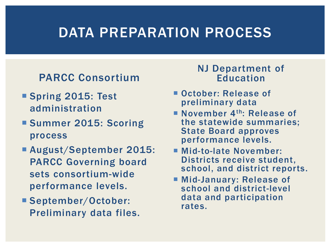### DATA PREPARATION PROCESS

#### PARCC Consortium

- Spring 2015: Test administration
- **Summer 2015: Scoring** process
- August/September 2015: PARCC Governing board sets consortium-wide performance levels.
- September/October: Preliminary data files.

#### NJ Department of Education

- October: Release of preliminary data
- November  $4<sup>th</sup>$ : Release of the statewide summaries; State Board approves performance levels.
- Mid-to-late November: Districts receive student, school, and district reports.
- Mid-January: Release of school and district-level data and participation rates.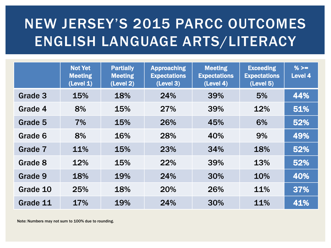# NEW JERSEY'S 2015 PARCC OUTCOMES ENGLISH LANGUAGE ARTS/LITERACY

|          | <b>Not Yet</b><br><b>Meeting</b><br>(Level 1) | <b>Partially</b><br><b>Meeting</b><br>(Level 2) | <b>Approaching</b><br><b>Expectations</b><br>(Level 3) | <b>Meeting</b><br><b>Expectations</b><br>(Level 4) | <b>Exceeding</b><br><b>Expectations</b><br>(Level 5) | % $>=$<br>Level 4 |
|----------|-----------------------------------------------|-------------------------------------------------|--------------------------------------------------------|----------------------------------------------------|------------------------------------------------------|-------------------|
| Grade 3  | 15%                                           | 18%                                             | 24%                                                    | 39%                                                | 5%                                                   | 44%               |
| Grade 4  | 8%                                            | 15%                                             | 27%                                                    | 39%                                                | 12%                                                  | 51%               |
| Grade 5  | 7%                                            | 15%                                             | 26%                                                    | 45%                                                | 6%                                                   | 52%               |
| Grade 6  | 8%                                            | 16%                                             | 28%                                                    | 40%                                                | 9%                                                   | 49%               |
| Grade 7  | 11%                                           | 15%                                             | 23%                                                    | 34%                                                | 18%                                                  | 52%               |
| Grade 8  | 12%                                           | 15%                                             | 22%                                                    | 39%                                                | 13%                                                  | 52%               |
| Grade 9  | 18%                                           | 19%                                             | 24%                                                    | 30%                                                | 10%                                                  | 40%               |
| Grade 10 | 25%                                           | 18%                                             | 20%                                                    | 26%                                                | 11%                                                  | 37%               |
| Grade 11 | 17%                                           | 19%                                             | 24%                                                    | 30%                                                | 11%                                                  | 41%               |

Note: Numbers may not sum to 100% due to rounding.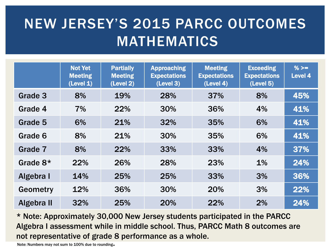# NEW JERSEY'S 2015 PARCC OUTCOMES MATHEMATICS

|            | <b>Not Yet</b><br><b>Meeting</b><br>(Level 1) | <b>Partially</b><br><b>Meeting</b><br>(Level 2) | <b>Approaching</b><br><b>Expectations</b><br>(Level 3) | <b>Meeting</b><br><b>Expectations</b><br>(Level 4) | <b>Exceeding</b><br><b>Expectations</b><br>(Level 5) | % $>=$<br>Level 4 |
|------------|-----------------------------------------------|-------------------------------------------------|--------------------------------------------------------|----------------------------------------------------|------------------------------------------------------|-------------------|
| Grade 3    | 8%                                            | 19%                                             | 28%                                                    | 37%                                                | 8%                                                   | 45%               |
| Grade 4    | 7%                                            | 22%                                             | 30%                                                    | 36%                                                | 4%                                                   | 41%               |
| Grade 5    | 6%                                            | 21%                                             | 32%                                                    | 35%                                                | 6%                                                   | 41%               |
| Grade 6    | 8%                                            | 21%                                             | 30%                                                    | 35%                                                | 6%                                                   | 41%               |
| Grade 7    | 8%                                            | 22%                                             | 33%                                                    | 33%                                                | 4%                                                   | 37%               |
| Grade $8*$ | 22%                                           | 26%                                             | 28%                                                    | 23%                                                | $1\%$                                                | 24%               |
| Algebra I  | 14%                                           | 25%                                             | 25%                                                    | 33%                                                | 3%                                                   | 36%               |
| Geometry   | 12%                                           | 36%                                             | 30%                                                    | 20%                                                | 3%                                                   | 22%               |
| Algebra II | 32%                                           | 25%                                             | 20%                                                    | 22%                                                | 2%                                                   | 24%               |

\* Note: Approximately 30,000 New Jersey students participated in the PARCC Algebra I assessment while in middle school. Thus, PARCC Math 8 outcomes are not representative of grade 8 performance as a whole.

Note: Numbers may not sum to 100% due to rounding.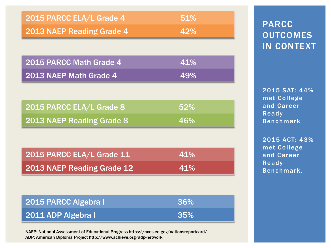| 2015 PARCC ELA/L Grade 4  | 51% |
|---------------------------|-----|
| 2013 NAEP Reading Grade 4 | 42% |

| 2015 PARCC Math Grade 4 | 41% |
|-------------------------|-----|
| 2013 NAEP Math Grade 4  | 49% |

| 2015 PARCC ELA/L Grade 8  | 52%        |
|---------------------------|------------|
| 2013 NAEP Reading Grade 8 | <b>46%</b> |

| 2015 PARCC ELA/L Grade 11  | 41% |
|----------------------------|-----|
| 2013 NAEP Reading Grade 12 | 41% |

| 2015 PARCC Algebra I | 36% |
|----------------------|-----|
| 2011 ADP Algebra I   | 35% |

NAEP: National Assessment of Educational Progress https://nces.ed.gov/nationsreportcard/ ADP: American Diploma Project http://www.achieve.org/adp-network

#### PARCC **OUTCOMES** IN CONTEXT

2015 SAT: 44% met College and Career Ready Benchmark

2015 ACT: 43% met College and Career Ready Benchmark.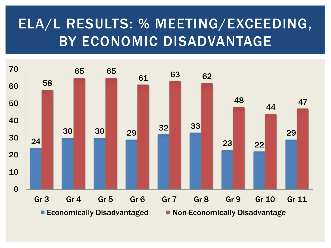## ELA/L RESULTS: % MEETING/EXCEEDING, BY ECONOMIC DISADVANTAGE

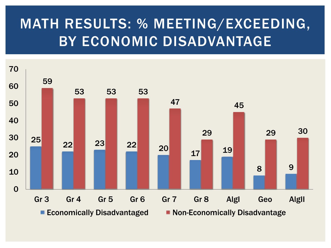# MATH RESULTS: % MEETING/EXCEEDING, BY ECONOMIC DISADVANTAGE

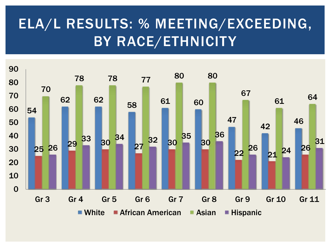## ELA/L RESULTS: % MEETING/EXCEEDING, BY RACE/ETHNICITY